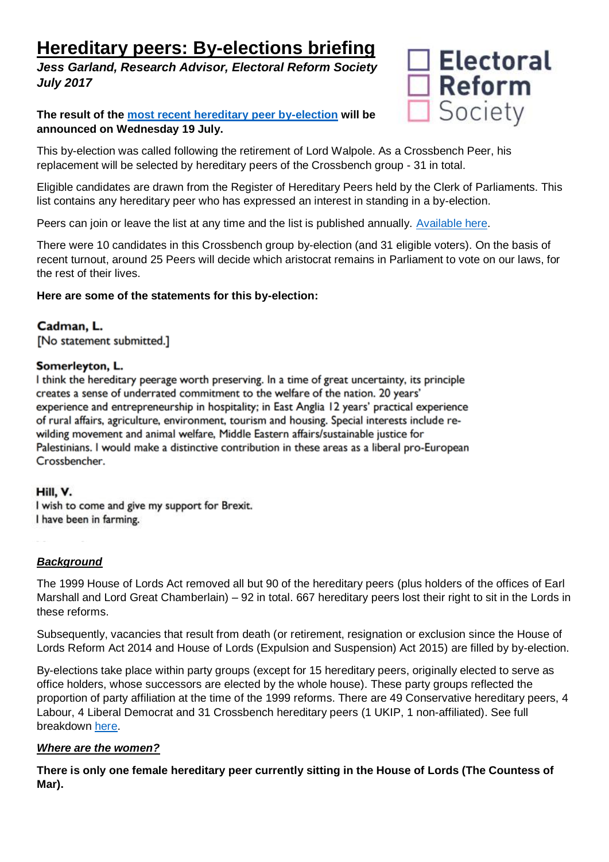# **Hereditary peers: By-elections briefing**

*Jess Garland, Research Advisor, Electoral Reform Society July 2017*

**The result of the [most recent hereditary peer by-election](https://www.parliament.uk/documents/lords-information-office/2017/Arrangements-by-election-30-06-17.pdf) will be announced on Wednesday 19 July.** 



This by-election was called following the retirement of Lord Walpole. As a Crossbench Peer, his replacement will be selected by hereditary peers of the Crossbench group - 31 in total.

Eligible candidates are drawn from the Register of Hereditary Peers held by the Clerk of Parliaments. This list contains any hereditary peer who has expressed an interest in standing in a by-election.

Peers can join or leave the list at any time and the list is published annually. [Available here.](https://www.parliament.uk/business/publications/house-of-lords-publications/records-of-activities-and-membership/register-of-all-hereditary-peers/)

There were 10 candidates in this Crossbench group by-election (and 31 eligible voters). On the basis of recent turnout, around 25 Peers will decide which aristocrat remains in Parliament to vote on our laws, for the rest of their lives.

# **Here are some of the statements for this by-election:**

Cadman, L. [No statement submitted.]

### Somerleyton, L.

I think the hereditary peerage worth preserving. In a time of great uncertainty, its principle creates a sense of underrated commitment to the welfare of the nation. 20 years' experience and entrepreneurship in hospitality; in East Anglia 12 years' practical experience of rural affairs, agriculture, environment, tourism and housing. Special interests include rewilding movement and animal welfare, Middle Eastern affairs/sustainable justice for Palestinians. I would make a distinctive contribution in these areas as a liberal pro-European Crossbencher.

#### Hill, V.

I wish to come and give my support for Brexit. I have been in farming.

# *Background*

The 1999 House of Lords Act removed all but 90 of the hereditary peers (plus holders of the offices of Earl Marshall and Lord Great Chamberlain) – 92 in total. 667 hereditary peers lost their right to sit in the Lords in these reforms.

Subsequently, vacancies that result from death (or retirement, resignation or exclusion since the House of Lords Reform Act 2014 and House of Lords (Expulsion and Suspension) Act 2015) are filled by by-election.

By-elections take place within party groups (except for 15 hereditary peers, originally elected to serve as office holders, whose successors are elected by the whole house). These party groups reflected the proportion of party affiliation at the time of the 1999 reforms. There are 49 Conservative hereditary peers, 4 Labour, 4 Liberal Democrat and 31 Crossbench hereditary peers (1 UKIP, 1 non-affiliated). See full breakdown [here.](http://www.parliament.uk/mps-lords-and-offices/lords/composition-of-the-lords/)

# *Where are the women?*

**There is only one female hereditary peer currently sitting in the House of Lords (The Countess of Mar).**